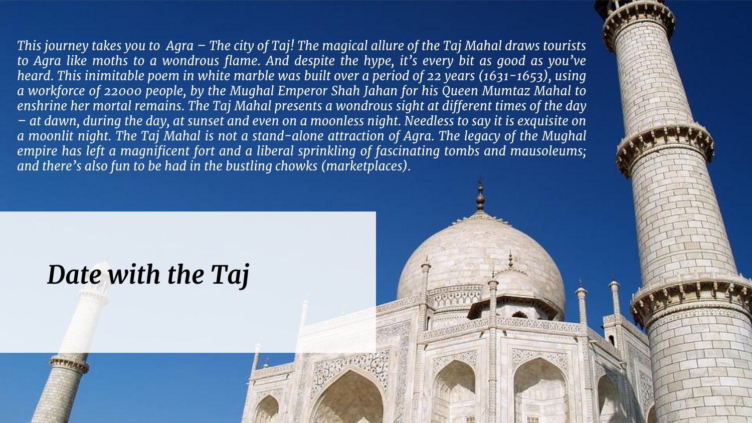This journey takes you to Agra  $-$  The city of Taj! The magical allure of the Taj Mahal draws tourists to Agra like moths to a wondrous flame. And despite the hype, it's every bit as good as you've *heard. This inimitable poem in white marble was built over a period of 22 years (1631-1653), using a workforce of 22000 people, by the Mughal Emperor Shah Jahan for his Queen Mumtaz Mahal to enshrine her mortal remains. The Taj Mahal presents a wondrous sight at different times of the day* - at dawn, during the day, at sunset and even on a moonless night. Needless to say it is exquisite on *a moonlit night. The Taj Mahal is not a stand-alone attraction of Agra. The legacy of the Mughal empire has left a magnificent fort and a liberal sprinkling of fascinating tombs and mausoleums; and there's also fun to be had in the bustling chowks (marketplaces).*

## *Date with the Taj*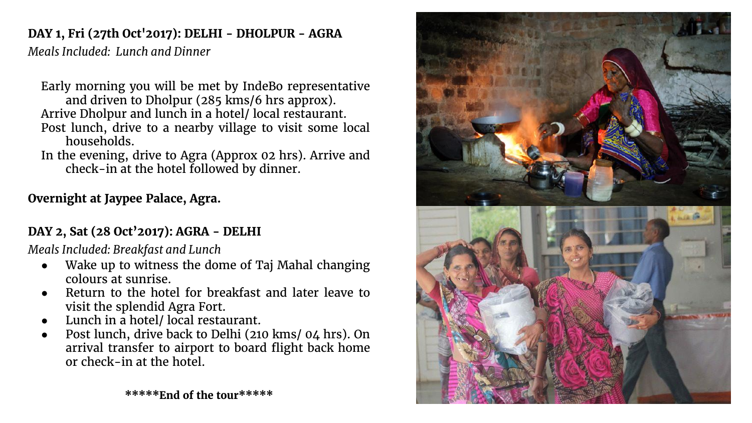## **DAY 1, Fri (27th Oct'2017): DELHI - DHOLPUR - AGRA**

*Meals Included: Lunch and Dinner*

Early morning you will be met by IndeBo representative and driven to Dholpur (285 kms/6 hrs approx). Arrive Dholpur and lunch in a hotel/ local restaurant. Post lunch, drive to a nearby village to visit some local households.

In the evening, drive to Agra (Approx 02 hrs). Arrive and check-in at the hotel followed by dinner.

**Overnight at Jaypee Palace, Agra.**

## **DAY 2, Sat (28 Oct'2017): AGRA - DELHI**

*Meals Included: Breakfast and Lunch*

- Wake up to witness the dome of Taj Mahal changing colours at sunrise.
- Return to the hotel for breakfast and later leave to visit the splendid Agra Fort.
- Lunch in a hotel/ local restaurant.
- Post lunch, drive back to Delhi (210 kms/ 04 hrs). On arrival transfer to airport to board flight back home or check-in at the hotel.



**\*\*\*\*\*End of the tour\*\*\*\*\***